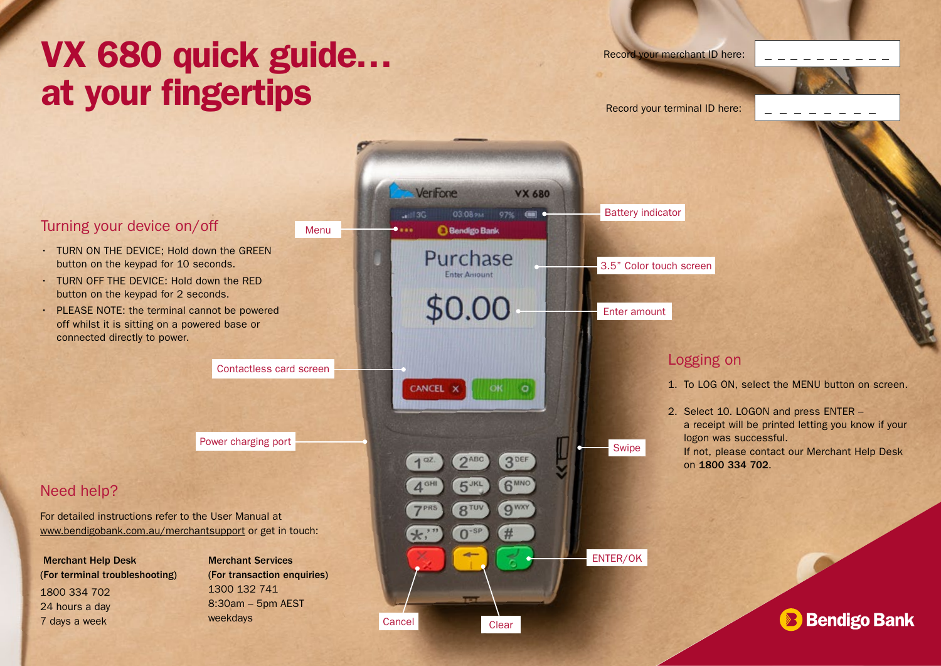# VX 680 quick guide… at your fingertips **Record your terminal ID here:**

Record your merchant ID here:

### Turning your device on/off

- TURN ON THE DEVICE: Hold down the GREEN button on the keypad for 10 seconds.
- TURN OFF THE DEVICE: Hold down the RED button on the keypad for 2 seconds.
- PLEASE NOTE: the terminal cannot be powered off whilst it is sitting on a powered base or connected directly to power.

Contactless card screen

### Need help?

For detailed instructions refer to the User Manual at www.bendigobank.com.au/merchantsupport or get in touch:

Merchant Help Desk (For terminal troubleshooting) 1800 334 702 24 hours a day 7 days a week

Merchant Services (For transaction enquiries) 1300 132 741 8:30am – 5pm AEST weekdays



## Logging on

on 1800 334 702.

1. To LOG ON, select the MENU button on screen.

2. Select 10. LOGON and press ENTER – a receipt will be printed letting you know if your logon was successful. If not, please contact our Merchant Help Desk

**Bendigo Bank**